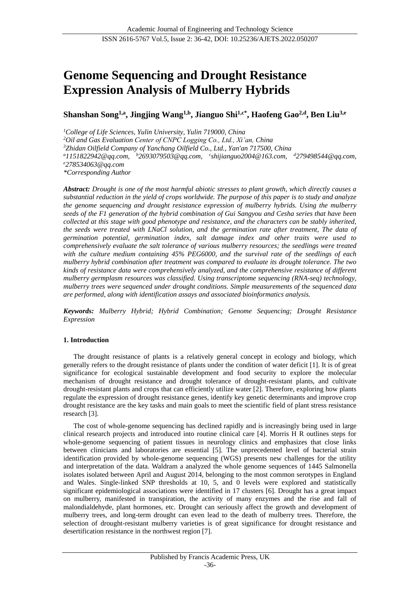# **Genome Sequencing and Drought Resistance Expression Analysis of Mulberry Hybrids**

**Shanshan Song1,a, Jingjing Wang1,b , Jianguo Shi1,c\* , Haofeng Gao2,d , Ben Liu3,e**

*<sup>1</sup>College of Life Sciences, Yulin University, Yulin 719000, China <sup>2</sup>Oil and Gas Evaluation Center of CNPC Logging Co., Ltd., Xi'an, China <sup>3</sup>Zhidan Oilfield Company of Yanchang Oilfield Co., Ltd., Yan'an 717500, China <sup>a</sup>1151822942@qq.com, <sup>b</sup>2693079503@qq.com, c shijianguo2004@163.com, <sup>d</sup>279498544@qq.com, <sup>e</sup>278534063@qq.com \*Corresponding Author*

*Abstract: Drought is one of the most harmful abiotic stresses to plant growth, which directly causes a substantial reduction in the yield of crops worldwide. The purpose of this paper is to study and analyze the genome sequencing and drought resistance expression of mulberry hybrids. Using the mulberry seeds of the F1 generation of the hybrid combination of Gui Sangyou and Cesha series that have been collected at this stage with good phenotype and resistance, and the characters can be stably inherited, the seeds were treated with LNaCl solution, and the germination rate after treatment, The data of germination potential, germination index, salt damage index and other traits were used to comprehensively evaluate the salt tolerance of various mulberry resources; the seedlings were treated with the culture medium containing 45% PEG6000, and the survival rate of the seedlings of each mulberry hybrid combination after treatment was compared to evaluate its drought tolerance. The two kinds of resistance data were comprehensively analyzed, and the comprehensive resistance of different mulberry germplasm resources was classified. Using transcriptome sequencing (RNA-seq) technology, mulberry trees were sequenced under drought conditions. Simple measurements of the sequenced data are performed, along with identification assays and associated bioinformatics analysis.*

*Keywords: Mulberry Hybrid; Hybrid Combination; Genome Sequencing; Drought Resistance Expression*

# **1. Introduction**

The drought resistance of plants is a relatively general concept in ecology and biology, which generally refers to the drought resistance of plants under the condition of water deficit [1]. It is of great significance for ecological sustainable development and food security to explore the molecular mechanism of drought resistance and drought tolerance of drought-resistant plants, and cultivate drought-resistant plants and crops that can efficiently utilize water [2]. Therefore, exploring how plants regulate the expression of drought resistance genes, identify key genetic determinants and improve crop drought resistance are the key tasks and main goals to meet the scientific field of plant stress resistance research [3].

The cost of whole-genome sequencing has declined rapidly and is increasingly being used in large clinical research projects and introduced into routine clinical care [4]. Morris H R outlines steps for whole-genome sequencing of patient tissues in neurology clinics and emphasizes that close links between clinicians and laboratories are essential [5]. The unprecedented level of bacterial strain identification provided by whole-genome sequencing (WGS) presents new challenges for the utility and interpretation of the data. Waldram a analyzed the whole genome sequences of 1445 Salmonella isolates isolated between April and August 2014, belonging to the most common serotypes in England and Wales. Single-linked SNP thresholds at 10, 5, and 0 levels were explored and statistically significant epidemiological associations were identified in 17 clusters [6]. Drought has a great impact on mulberry, manifested in transpiration, the activity of many enzymes and the rise and fall of malondialdehyde, plant hormones, etc. Drought can seriously affect the growth and development of mulberry trees, and long-term drought can even lead to the death of mulberry trees. Therefore, the selection of drought-resistant mulberry varieties is of great significance for drought resistance and desertification resistance in the northwest region [7].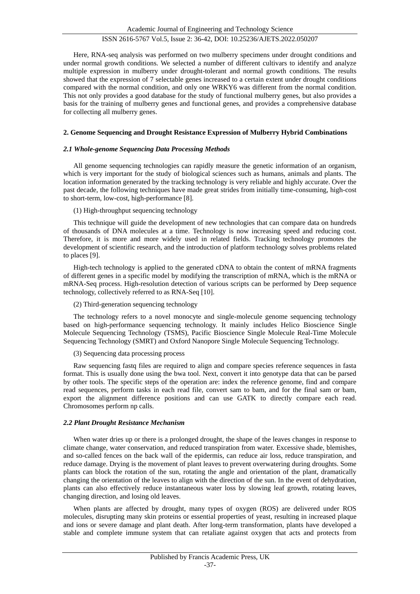Here, RNA-seq analysis was performed on two mulberry specimens under drought conditions and under normal growth conditions. We selected a number of different cultivars to identify and analyze multiple expression in mulberry under drought-tolerant and normal growth conditions. The results showed that the expression of 7 selectable genes increased to a certain extent under drought conditions compared with the normal condition, and only one WRKY6 was different from the normal condition. This not only provides a good database for the study of functional mulberry genes, but also provides a basis for the training of mulberry genes and functional genes, and provides a comprehensive database for collecting all mulberry genes.

# **2. Genome Sequencing and Drought Resistance Expression of Mulberry Hybrid Combinations**

## *2.1 Whole-genome Sequencing Data Processing Methods*

All genome sequencing technologies can rapidly measure the genetic information of an organism, which is very important for the study of biological sciences such as humans, animals and plants. The location information generated by the tracking technology is very reliable and highly accurate. Over the past decade, the following techniques have made great strides from initially time-consuming, high-cost to short-term, low-cost, high-performance [8].

## (1) High-throughput sequencing technology

This technique will guide the development of new technologies that can compare data on hundreds of thousands of DNA molecules at a time. Technology is now increasing speed and reducing cost. Therefore, it is more and more widely used in related fields. Tracking technology promotes the development of scientific research, and the introduction of platform technology solves problems related to places [9].

High-tech technology is applied to the generated cDNA to obtain the content of mRNA fragments of different genes in a specific model by modifying the transcription of mRNA, which is the mRNA or mRNA-Seq process. High-resolution detection of various scripts can be performed by Deep sequence technology, collectively referred to as RNA-Seq [10].

(2) Third-generation sequencing technology

The technology refers to a novel monocyte and single-molecule genome sequencing technology based on high-performance sequencing technology. It mainly includes Helico Bioscience Single Molecule Sequencing Technology (TSMS), Pacific Bioscience Single Molecule Real-Time Molecule Sequencing Technology (SMRT) and Oxford Nanopore Single Molecule Sequencing Technology.

(3) Sequencing data processing process

Raw sequencing fastq files are required to align and compare species reference sequences in fasta format. This is usually done using the bwa tool. Next, convert it into genotype data that can be parsed by other tools. The specific steps of the operation are: index the reference genome, find and compare read sequences, perform tasks in each read file, convert sam to bam, and for the final sam or bam, export the alignment difference positions and can use GATK to directly compare each read. Chromosomes perform np calls.

# *2.2 Plant Drought Resistance Mechanism*

When water dries up or there is a prolonged drought, the shape of the leaves changes in response to climate change, water conservation, and reduced transpiration from water. Excessive shade, blemishes, and so-called fences on the back wall of the epidermis, can reduce air loss, reduce transpiration, and reduce damage. Drying is the movement of plant leaves to prevent overwatering during droughts. Some plants can block the rotation of the sun, rotating the angle and orientation of the plant, dramatically changing the orientation of the leaves to align with the direction of the sun. In the event of dehydration, plants can also effectively reduce instantaneous water loss by slowing leaf growth, rotating leaves, changing direction, and losing old leaves.

When plants are affected by drought, many types of oxygen (ROS) are delivered under ROS molecules, disrupting many skin proteins or essential properties of yeast, resulting in increased plaque and ions or severe damage and plant death. After long-term transformation, plants have developed a stable and complete immune system that can retaliate against oxygen that acts and protects from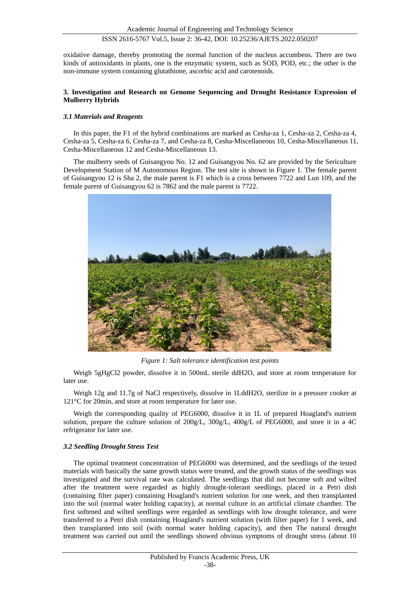oxidative damage, thereby promoting the normal function of the nucleus accumbens. There are two kinds of antioxidants in plants, one is the enzymatic system, such as SOD, POD, etc.; the other is the non-immune system containing glutathione, ascorbic acid and carotenoids.

# **3. Investigation and Research on Genome Sequencing and Drought Resistance Expression of Mulberry Hybrids**

## *3.1 Materials and Reagents*

In this paper, the F1 of the hybrid combinations are marked as Cesha-za 1, Cesha-za 2, Cesha-za 4, Cesha-za 5, Cesha-za 6, Cesha-za 7, and Cesha-za 8, Cesha-Miscellaneous 10, Cesha-Miscellaneous 11, Cesha-Miscellaneous 12 and Cesha-Miscellaneous 13.

The mulberry seeds of Guisangyou No. 12 and Guisangyou No. 62 are provided by the Sericulture Development Station of M Autonomous Region. The test site is shown in Figure 1. The female parent of Guisangyou 12 is Sha 2, the male parent is F1 which is a cross between 7722 and Lun 109, and the female parent of Guisangyou 62 is 7862 and the male parent is 7722.



*Figure 1: Salt tolerance identification test points*

Weigh 5gHgCl2 powder, dissolve it in 500mL sterile ddH2O, and store at room temperature for later use.

Weigh 12g and 11.7g of NaCl respectively, dissolve in 1LddH2O, sterilize in a pressure cooker at 121 °C for 20min, and store at room temperature for later use.

Weigh the corresponding quality of PEG6000, dissolve it in 1L of prepared Hoagland's nutrient solution, prepare the culture solution of 200g/L, 300g/L, 400g/L of PEG6000, and store it in a 4C refrigerator for later use.

# *3.2 Seedling Drought Stress Test*

The optimal treatment concentration of PEG6000 was determined, and the seedlings of the tested materials with basically the same growth status were treated, and the growth status of the seedlings was investigated and the survival rate was calculated. The seedlings that did not become soft and wilted after the treatment were regarded as highly drought-tolerant seedlings, placed in a Petri dish (containing filter paper) containing Hoagland's nutrient solution for one week, and then transplanted into the soil (normal water holding capacity), at normal culture in an artificial climate chamber. The first softened and wilted seedlings were regarded as seedlings with low drought tolerance, and were transferred to a Petri dish containing Hoagland's nutrient solution (with filter paper) for 1 week, and then transplanted into soil (with normal water holding capacity), and then The natural drought treatment was carried out until the seedlings showed obvious symptoms of drought stress (about 10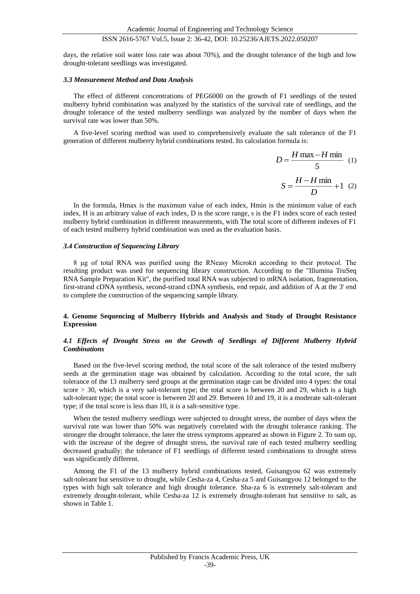days, the relative soil water loss rate was about 70%), and the drought tolerance of the high and low drought-tolerant seedlings was investigated.

#### *3.3 Measurement Method and Data Analysis*

The effect of different concentrations of PEG6000 on the growth of F1 seedlings of the tested mulberry hybrid combination was analyzed by the statistics of the survival rate of seedlings, and the drought tolerance of the tested mulberry seedlings was analyzed by the number of days when the survival rate was lower than 50%.

A five-level scoring method was used to comprehensively evaluate the salt tolerance of the F1 generation of different mulberry hybrid combinations tested. Its calculation formula is:

$$
D = \frac{H \max - H \min}{5} \quad (1)
$$

$$
S = \frac{H - H \min}{D} + 1 \quad (2)
$$

In the formula, Hmax is the maximum value of each index, Hmin is the minimum value of each index, H is an arbitrary value of each index, D is the score range, s is the F1 index score of each tested mulberry hybrid combination in different measurements, with The total score of different indexes of F1 of each tested mulberry hybrid combination was used as the evaluation basis.

#### *3.4 Construction of Sequencing Library*

8 μg of total RNA was purified using the RNeasy Microkit according to their protocol. The resulting product was used for sequencing library construction. According to the "Illumina TruSeq RNA Sample Preparation Kit", the purified total RNA was subjected to mRNA isolation, fragmentation, first-strand cDNA synthesis, second-strand cDNA synthesis, end repair, and addition of A at the 3' end to complete the construction of the sequencing sample library.

## **4. Genome Sequencing of Mulberry Hybrids and Analysis and Study of Drought Resistance Expression**

### *4.1 Effects of Drought Stress on the Growth of Seedlings of Different Mulberry Hybrid Combinations*

Based on the five-level scoring method, the total score of the salt tolerance of the tested mulberry seeds at the germination stage was obtained by calculation. According to the total score, the salt tolerance of the 13 mulberry seed groups at the germination stage can be divided into 4 types: the total score > 30, which is a very salt-tolerant type; the total score is between 20 and 29, which is a high salt-tolerant type; the total score is between 20 and 29. Between 10 and 19, it is a moderate salt-tolerant type; if the total score is less than 10, it is a salt-sensitive type.

When the tested mulberry seedlings were subjected to drought stress, the number of days when the survival rate was lower than 50% was negatively correlated with the drought tolerance ranking. The stronger the drought tolerance, the later the stress symptoms appeared as shown in Figure 2. To sum up, with the increase of the degree of drought stress, the survival rate of each tested mulberry seedling decreased gradually; the tolerance of F1 seedlings of different tested combinations to drought stress was significantly different.

Among the F1 of the 13 mulberry hybrid combinations tested, Guisangyou 62 was extremely salt-tolerant but sensitive to drought, while Cesha-za 4, Cesha-za 5 and Guisangyou 12 belonged to the types with high salt tolerance and high drought tolerance. Sha-za 6 is extremely salt-tolerant and extremely drought-tolerant, while Cesha-za 12 is extremely drought-tolerant but sensitive to salt, as shown in Table 1.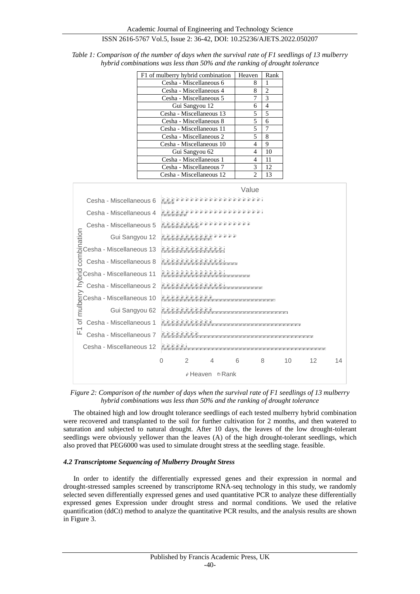| F1 of mulberry hybrid combination | Heaven         | Rank |
|-----------------------------------|----------------|------|
| Cesha - Miscellaneous 6           | 8              | 1    |
| Cesha - Miscellaneous 4           | 8              | 2    |
| Cesha - Miscellaneous 5           | 7              | 3    |
| Gui Sangyou 12                    | 6              | 4    |
| Cesha - Miscellaneous 13          | 5              | 5    |
| Cesha - Miscellaneous 8           | 5              | 6    |
| Cesha - Miscellaneous 11          | 5              | 7    |
| Cesha - Miscellaneous 2           | 5              | 8    |
| Cesha - Miscellaneous 10          | 4              | 9    |
| Gui Sangyou 62                    | 4              | 10   |
| Cesha - Miscellaneous 1           | 4              | 11   |
| Cesha - Miscellaneous 7           | 3              | 12   |
| Cesha - Miscellaneous 12          | $\mathfrak{D}$ | 13   |

*Table 1: Comparison of the number of days when the survival rate of F1 seedlings of 13 mulberry hybrid combinations was less than 50% and the ranking of drought tolerance*



*Figure 2: Comparison of the number of days when the survival rate of F1 seedlings of 13 mulberry hybrid combinations was less than 50% and the ranking of drought tolerance*

The obtained high and low drought tolerance seedlings of each tested mulberry hybrid combination were recovered and transplanted to the soil for further cultivation for 2 months, and then watered to saturation and subjected to natural drought. After 10 days, the leaves of the low drought-tolerant seedlings were obviously yellower than the leaves (A) of the high drought-tolerant seedlings, which also proved that PEG6000 was used to simulate drought stress at the seedling stage. feasible.

## *4.2 Transcriptome Sequencing of Mulberry Drought Stress*

In order to identify the differentially expressed genes and their expression in normal and drought-stressed samples screened by transcriptome RNA-seq technology in this study, we randomly selected seven differentially expressed genes and used quantitative PCR to analyze these differentially expressed genes Expression under drought stress and normal conditions. We used the relative quantification (ddCt) method to analyze the quantitative PCR results, and the analysis results are shown in Figure 3.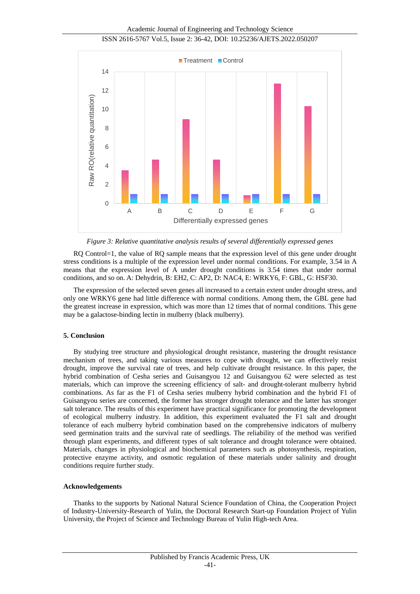Academic Journal of Engineering and Technology Science

ISSN 2616-5767 Vol.5, Issue 2: 36-42, DOI: 10.25236/AJETS.2022.050207



*Figure 3: Relative quantitative analysis results of several differentially expressed genes*

RQ Control=1, the value of RQ sample means that the expression level of this gene under drought stress conditions is a multiple of the expression level under normal conditions. For example, 3.54 in A means that the expression level of A under drought conditions is 3.54 times that under normal conditions, and so on. A: Dehydrin, B: EH2, C: AP2, D: NAC4, E: WRKY6, F: GBL, G: HSF30.

The expression of the selected seven genes all increased to a certain extent under drought stress, and only one WRKY6 gene had little difference with normal conditions. Among them, the GBL gene had the greatest increase in expression, which was more than 12 times that of normal conditions. This gene may be a galactose-binding lectin in mulberry (black mulberry).

## **5. Conclusion**

By studying tree structure and physiological drought resistance, mastering the drought resistance mechanism of trees, and taking various measures to cope with drought, we can effectively resist drought, improve the survival rate of trees, and help cultivate drought resistance. In this paper, the hybrid combination of Cesha series and Guisangyou 12 and Guisangyou 62 were selected as test materials, which can improve the screening efficiency of salt- and drought-tolerant mulberry hybrid combinations. As far as the F1 of Cesha series mulberry hybrid combination and the hybrid F1 of Guisangyou series are concerned, the former has stronger drought tolerance and the latter has stronger salt tolerance. The results of this experiment have practical significance for promoting the development of ecological mulberry industry. In addition, this experiment evaluated the F1 salt and drought tolerance of each mulberry hybrid combination based on the comprehensive indicators of mulberry seed germination traits and the survival rate of seedlings. The reliability of the method was verified through plant experiments, and different types of salt tolerance and drought tolerance were obtained. Materials, changes in physiological and biochemical parameters such as photosynthesis, respiration, protective enzyme activity, and osmotic regulation of these materials under salinity and drought conditions require further study.

#### **Acknowledgements**

Thanks to the supports by National Natural Science Foundation of China, the Cooperation Project of Industry-University-Research of Yulin, the Doctoral Research Start-up Foundation Project of Yulin University, the Project of Science and Technology Bureau of Yulin High-tech Area.